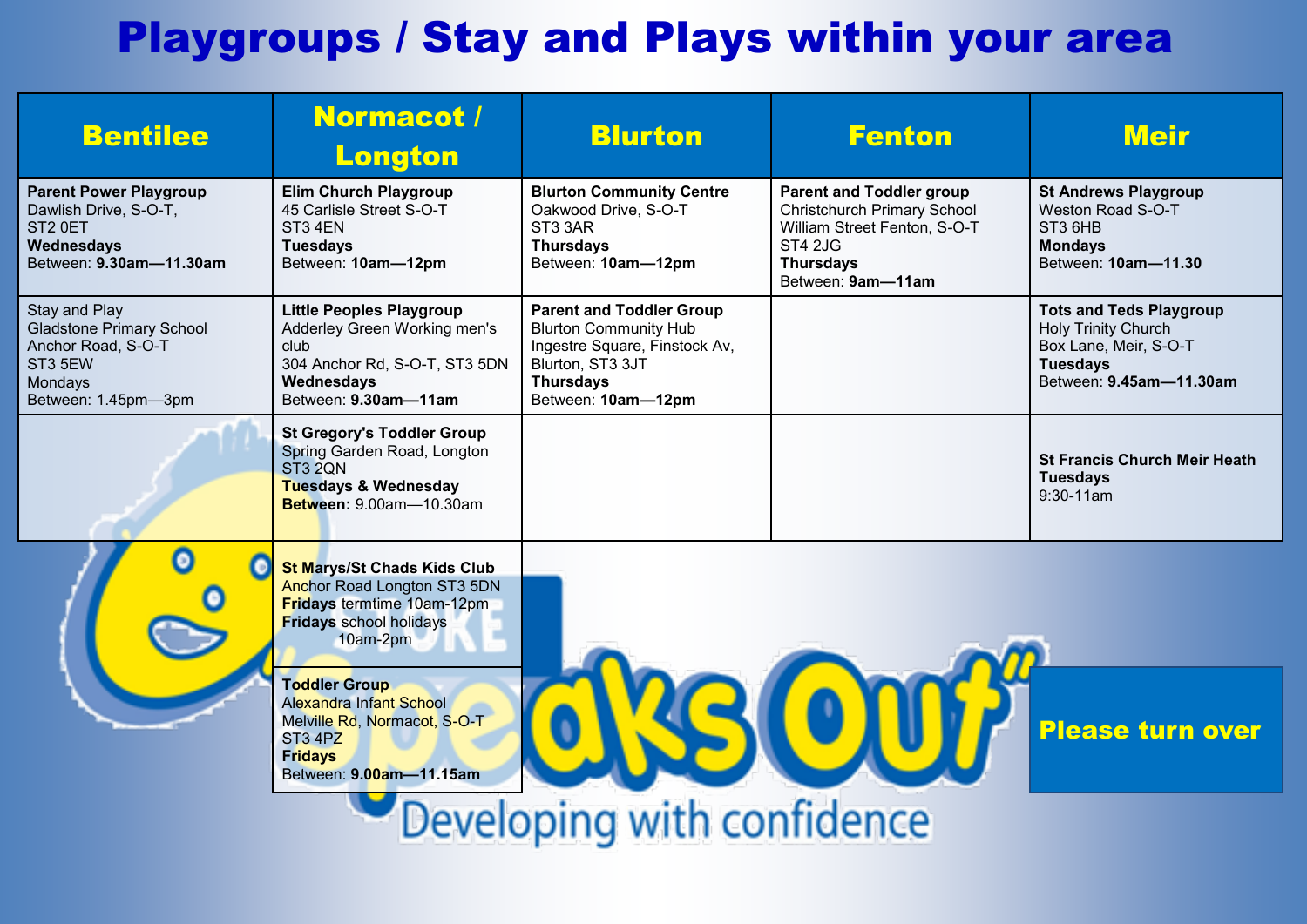## Playgroups / Stay and Plays within your area

| <b>Bentilee</b>                                                                                                               | Normacot /<br><b>Longton</b>                                                                                                                                | <b>Blurton</b>                                                                                                                                                 | <b>Fenton</b>                                                                                                                                                    | <b>Meir</b>                                                                                                                         |
|-------------------------------------------------------------------------------------------------------------------------------|-------------------------------------------------------------------------------------------------------------------------------------------------------------|----------------------------------------------------------------------------------------------------------------------------------------------------------------|------------------------------------------------------------------------------------------------------------------------------------------------------------------|-------------------------------------------------------------------------------------------------------------------------------------|
| <b>Parent Power Playgroup</b><br>Dawlish Drive, S-O-T,<br>ST <sub>2</sub> OET<br><b>Wednesdays</b><br>Between: 9.30am-11.30am | <b>Elim Church Playgroup</b><br>45 Carlisle Street S-O-T<br>ST3 4EN<br><b>Tuesdays</b><br>Between: 10am-12pm                                                | <b>Blurton Community Centre</b><br>Oakwood Drive, S-O-T<br>ST3 3AR<br><b>Thursdays</b><br>Between: 10am-12pm                                                   | <b>Parent and Toddler group</b><br><b>Christchurch Primary School</b><br>William Street Fenton, S-O-T<br><b>ST4 2JG</b><br><b>Thursdays</b><br>Between: 9am-11am | <b>St Andrews Playgroup</b><br>Weston Road S-O-T<br>ST3 6HB<br><b>Mondays</b><br>Between: 10am-11.30                                |
| Stay and Play<br><b>Gladstone Primary School</b><br>Anchor Road, S-O-T<br>ST3 5EW<br>Mondays<br>Between: 1.45pm-3pm           | <b>Little Peoples Playgroup</b><br>Adderley Green Working men's<br>club<br>304 Anchor Rd, S-O-T, ST3 5DN<br>Wednesdays<br>Between: 9.30am-11am              | <b>Parent and Toddler Group</b><br><b>Blurton Community Hub</b><br>Ingestre Square, Finstock Av,<br>Blurton, ST3 3JT<br><b>Thursdays</b><br>Between: 10am-12pm |                                                                                                                                                                  | <b>Tots and Teds Playgroup</b><br><b>Holy Trinity Church</b><br>Box Lane, Meir, S-O-T<br><b>Tuesdays</b><br>Between: 9.45am-11.30am |
|                                                                                                                               | <b>St Gregory's Toddler Group</b><br>Spring Garden Road, Longton<br>ST3 2QN<br><b>Tuesdays &amp; Wednesday</b><br>Between: 9.00am-10.30am                   |                                                                                                                                                                |                                                                                                                                                                  | <b>St Francis Church Meir Heath</b><br><b>Tuesdays</b><br>$9:30-11am$                                                               |
|                                                                                                                               | <b>St Marys/St Chads Kids Club</b><br><b>Anchor Road Longton ST3 5DN</b><br><b>Fridays termtime 10am-12pm</b><br><b>Fridays</b> school holidays<br>10am-2pm |                                                                                                                                                                |                                                                                                                                                                  |                                                                                                                                     |
|                                                                                                                               | <b>Toddler Group</b><br><b>Alexandra Infant School</b><br>Melville Rd, Normacot, S-O-T<br>ST3 4PZ<br><b>Fridays</b><br>Between: 9.00am-11.15am              |                                                                                                                                                                |                                                                                                                                                                  | <b>Please turn over</b>                                                                                                             |
| Developing with confidence                                                                                                    |                                                                                                                                                             |                                                                                                                                                                |                                                                                                                                                                  |                                                                                                                                     |